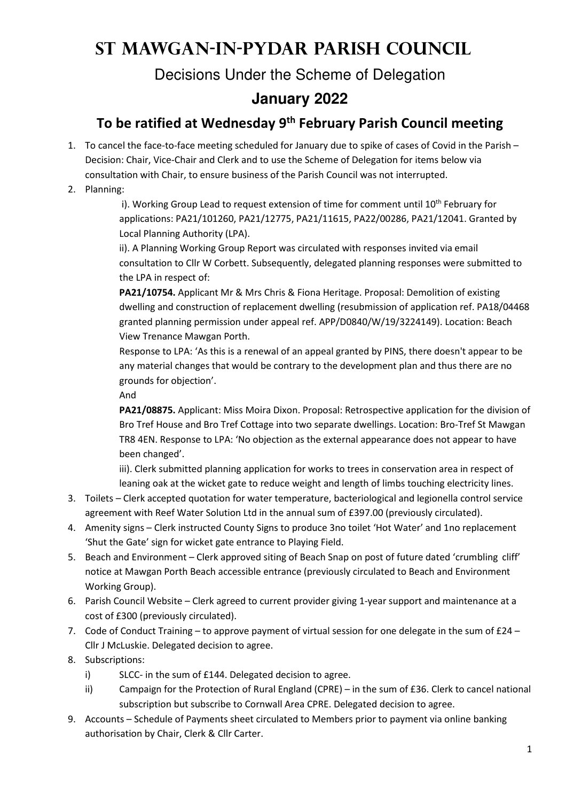## **St Mawgan-in-Pydar Parish Council**

Decisions Under the Scheme of Delegation

## **January 2022**

## **To be ratified at Wednesday 9th February Parish Council meeting**

- 1. To cancel the face-to-face meeting scheduled for January due to spike of cases of Covid in the Parish Decision: Chair, Vice-Chair and Clerk and to use the Scheme of Delegation for items below via consultation with Chair, to ensure business of the Parish Council was not interrupted.
- 2. Planning:

i). Working Group Lead to request extension of time for comment until  $10<sup>th</sup>$  February for applications: PA21/101260, PA21/12775, PA21/11615, PA22/00286, PA21/12041. Granted by Local Planning Authority (LPA).

ii). A Planning Working Group Report was circulated with responses invited via email consultation to Cllr W Corbett. Subsequently, delegated planning responses were submitted to the LPA in respect of:

**PA21/10754.** Applicant Mr & Mrs Chris & Fiona Heritage. Proposal: Demolition of existing dwelling and construction of replacement dwelling (resubmission of application ref. PA18/04468 granted planning permission under appeal ref. APP/D0840/W/19/3224149). Location: Beach View Trenance Mawgan Porth.

Response to LPA: 'As this is a renewal of an appeal granted by PINS, there doesn't appear to be any material changes that would be contrary to the development plan and thus there are no grounds for objection'.

And

**PA21/08875.** Applicant: Miss Moira Dixon. Proposal: Retrospective application for the division of Bro Tref House and Bro Tref Cottage into two separate dwellings. Location: Bro-Tref St Mawgan TR8 4EN. Response to LPA: 'No objection as the external appearance does not appear to have been changed'.

iii). Clerk submitted planning application for works to trees in conservation area in respect of leaning oak at the wicket gate to reduce weight and length of limbs touching electricity lines.

- 3. Toilets Clerk accepted quotation for water temperature, bacteriological and legionella control service agreement with Reef Water Solution Ltd in the annual sum of £397.00 (previously circulated).
- 4. Amenity signs Clerk instructed County Signs to produce 3no toilet 'Hot Water' and 1no replacement 'Shut the Gate' sign for wicket gate entrance to Playing Field.
- 5. Beach and Environment Clerk approved siting of Beach Snap on post of future dated 'crumbling cliff' notice at Mawgan Porth Beach accessible entrance (previously circulated to Beach and Environment Working Group).
- 6. Parish Council Website Clerk agreed to current provider giving 1-year support and maintenance at a cost of £300 (previously circulated).
- 7. Code of Conduct Training to approve payment of virtual session for one delegate in the sum of  $E24 E$ Cllr J McLuskie. Delegated decision to agree.
- 8. Subscriptions:
	- i) SLCC- in the sum of £144. Delegated decision to agree.
	- ii) Campaign for the Protection of Rural England (CPRE) in the sum of £36. Clerk to cancel national subscription but subscribe to Cornwall Area CPRE. Delegated decision to agree.
- 9. Accounts Schedule of Payments sheet circulated to Members prior to payment via online banking authorisation by Chair, Clerk & Cllr Carter.